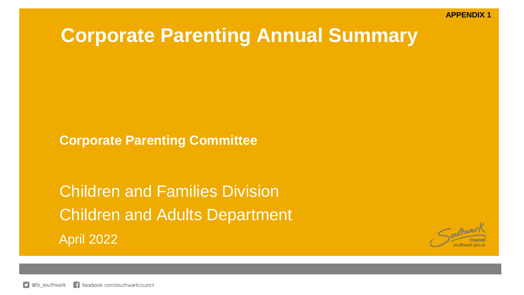# **Corporate Parenting Annual Summary**

**Corporate Parenting Committee**

Children and Families Division Children and Adults Department April 2022

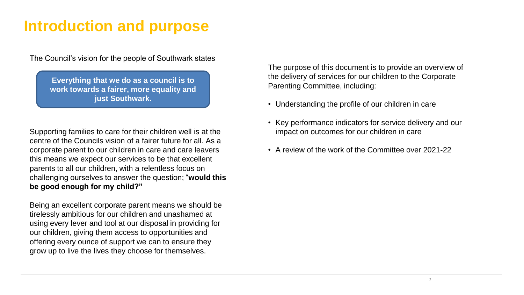# **Introduction and purpose**

The Council's vision for the people of Southwark states

**Everything that we do as a council is to work towards a fairer, more equality and just Southwark.**

Supporting families to care for their children well is at the centre of the Councils vision of a fairer future for all. As a corporate parent to our children in care and care leavers this means we expect our services to be that excellent parents to all our children, with a relentless focus on challenging ourselves to answer the question; "**would this be good enough for my child?"**

Being an excellent corporate parent means we should be tirelessly ambitious for our children and unashamed at using every lever and tool at our disposal in providing for our children, giving them access to opportunities and offering every ounce of support we can to ensure they grow up to live the lives they choose for themselves.

The purpose of this document is to provide an overview of the delivery of services for our children to the Corporate Parenting Committee, including:

- Understanding the profile of our children in care
- Key performance indicators for service delivery and our impact on outcomes for our children in care
- A review of the work of the Committee over 2021-22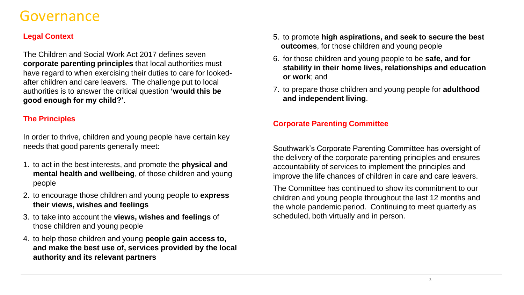## Governance

## **Legal Context**

The Children and Social Work Act 2017 defines seven **corporate parenting principles** that local authorities must have regard to when exercising their duties to care for lookedafter children and care leavers. The challenge put to local authorities is to answer the critical question **'would this be good enough for my child?'.** 

### **The Principles**

In order to thrive, children and young people have certain key needs that good parents generally meet:

- 1. to act in the best interests, and promote the **physical and mental health and wellbeing**, of those children and young people
- 2. to encourage those children and young people to **express their views, wishes and feelings**
- 3. to take into account the **views, wishes and feelings** of those children and young people
- 4. to help those children and young **people gain access to, and make the best use of, services provided by the local authority and its relevant partners**
- 5. to promote **high aspirations, and seek to secure the best outcomes**, for those children and young people
- 6. for those children and young people to be **safe, and for stability in their home lives, relationships and education or work**; and
- 7. to prepare those children and young people for **adulthood and independent living**.

### **Corporate Parenting Committee**

Southwark's Corporate Parenting Committee has oversight of the delivery of the corporate parenting principles and ensures accountability of services to implement the principles and improve the life chances of children in care and care leavers.

The Committee has continued to show its commitment to our children and young people throughout the last 12 months and the whole pandemic period. Continuing to meet quarterly as scheduled, both virtually and in person.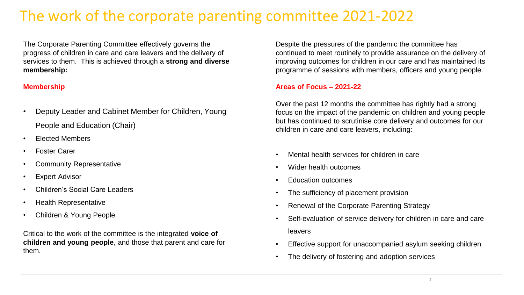# The work of the corporate parenting committee 2021-2022

The Corporate Parenting Committee effectively governs the progress of children in care and care leavers and the delivery of services to them. This is achieved through a **strong and diverse membership:**

### **Membership**

- Deputy Leader and Cabinet Member for Children, Young People and Education (Chair)
- Elected Members
- Foster Carer
- Community Representative
- Expert Advisor
- Children's Social Care Leaders
- Health Representative
- Children & Young People

Critical to the work of the committee is the integrated **voice of children and young people**, and those that parent and care for them.

Despite the pressures of the pandemic the committee has continued to meet routinely to provide assurance on the delivery of improving outcomes for children in our care and has maintained its programme of sessions with members, officers and young people.

### **Areas of Focus – 2021-22**

Over the past 12 months the committee has rightly had a strong focus on the impact of the pandemic on children and young people but has continued to scrutinise core delivery and outcomes for our children in care and care leavers, including:

- Mental health services for children in care
- Wider health outcomes
- Education outcomes
- The sufficiency of placement provision
- Renewal of the Corporate Parenting Strategy
- Self-evaluation of service delivery for children in care and care leavers
- Effective support for unaccompanied asylum seeking children
- The delivery of fostering and adoption services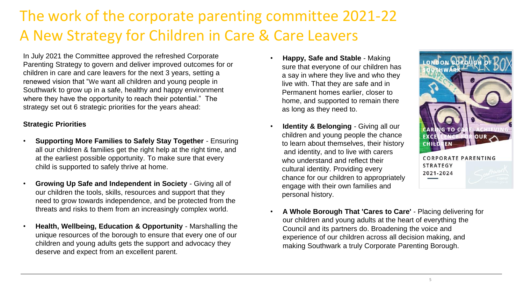# The work of the corporate parenting committee 2021-22 A New Strategy for Children in Care & Care Leavers

In July 2021 the Committee approved the refreshed Corporate Parenting Strategy to govern and deliver improved outcomes for or children in care and care leavers for the next 3 years, setting a renewed vision that "We want all children and young people in Southwark to grow up in a safe, healthy and happy environment where they have the opportunity to reach their potential." The strategy set out 6 strategic priorities for the years ahead:

### **Strategic Priorities**

- **Supporting More Families to Safely Stay Together**  Ensuring all our children & families get the right help at the right time, and at the earliest possible opportunity. To make sure that every child is supported to safely thrive at home.
- **Growing Up Safe and Independent in Society**  Giving all of our children the tools, skills, resources and support that they need to grow towards independence, and be protected from the threats and risks to them from an increasingly complex world.
- **Health, Wellbeing, Education & Opportunity**  Marshalling the unique resources of the borough to ensure that every one of our children and young adults gets the support and advocacy they deserve and expect from an excellent parent.
- **Happy, Safe and Stable**  Making sure that everyone of our children has a say in where they live and who they live with. That they are safe and in Permanent homes earlier, closer to home, and supported to remain there as long as they need to.
- **Identity & Belonging Giving all our** children and young people the chance to learn about themselves, their history and identity, and to live with carers who understand and reflect their cultural identity. Providing every chance for our children to appropriately engage with their own families and personal history.



• **A Whole Borough That 'Cares to Care'** - Placing delivering for our children and young adults at the heart of everything the Council and its partners do. Broadening the voice and experience of our children across all decision making, and making Southwark a truly Corporate Parenting Borough.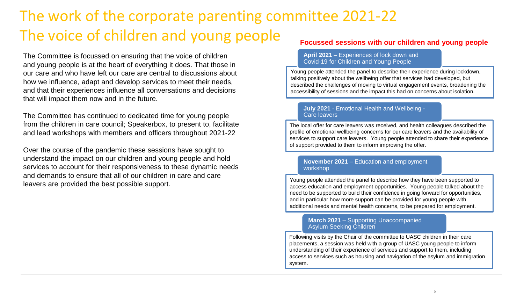# The work of the corporate parenting committee 2021-22 The voice of children and young people

The Committee is focussed on ensuring that the voice of children and young people is at the heart of everything it does. That those in our care and who have left our care are central to discussions about how we influence, adapt and develop services to meet their needs, and that their experiences influence all conversations and decisions that will impact them now and in the future.

The Committee has continued to dedicated time for young people from the children in care council; Speakerbox, to present to, facilitate and lead workshops with members and officers throughout 2021-22

Over the course of the pandemic these sessions have sought to understand the impact on our children and young people and hold services to account for their responsiveness to these dynamic needs and demands to ensure that all of our children in care and care leavers are provided the best possible support.

### **Focussed sessions with our children and young people**

#### **April 2021 –** Experiences of lock down and Covid-19 for Children and Young People

Young people attended the panel to describe their experience during lockdown, talking positively about the wellbeing offer that services had developed, but described the challenges of moving to virtual engagement events, broadening the accessibility of sessions and the impact this had on concerns about isolation.

#### **July 2021** - Emotional Health and Wellbeing - Care leavers

The local offer for care leavers was received, and health colleagues described the profile of emotional wellbeing concerns for our care leavers and the availability of services to support care leavers. Young people attended to share their experience of support provided to them to inform improving the offer.

#### **November 2021** – Education and employment workshop

Young people attended the panel to describe how they have been supported to access education and employment opportunities. Young people talked about the need to be supported to build their confidence in going forward for opportunities, and in particular how more support can be provided for young people with additional needs and mental health concerns, to be prepared for employment.

#### **March 2021** – Supporting Unaccompanied Asylum Seeking Children

6 placements, a session was held with a group of UASC young people to inform Following visits by the Chair of the committee to UASC children in their care understanding of their experience of services and support to them, including access to services such as housing and navigation of the asylum and immigration system.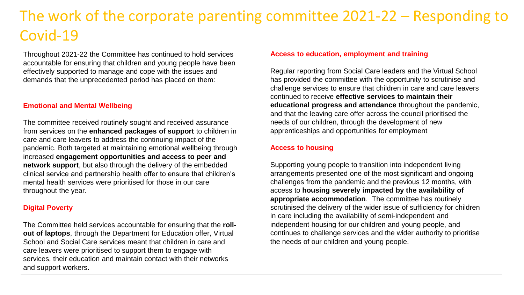# The work of the corporate parenting committee 2021-22 – Responding to Covid-19

Throughout 2021-22 the Committee has continued to hold services accountable for ensuring that children and young people have been effectively supported to manage and cope with the issues and demands that the unprecedented period has placed on them:

#### **Emotional and Mental Wellbeing**

The committee received routinely sought and received assurance from services on the **enhanced packages of support** to children in care and care leavers to address the continuing impact of the pandemic. Both targeted at maintaining emotional wellbeing through increased **engagement opportunities and access to peer and network support**, but also through the delivery of the embedded clinical service and partnership health offer to ensure that children's mental health services were prioritised for those in our care throughout the year.

### **Digital Poverty**

The Committee held services accountable for ensuring that the **rollout of laptops**, through the Department for Education offer, Virtual School and Social Care services meant that children in care and care leavers were prioritised to support them to engage with services, their education and maintain contact with their networks and support workers.

### **Access to education, employment and training**

Regular reporting from Social Care leaders and the Virtual School has provided the committee with the opportunity to scrutinise and challenge services to ensure that children in care and care leavers continued to receive **effective services to maintain their educational progress and attendance** throughout the pandemic, and that the leaving care offer across the council prioritised the needs of our children, through the development of new apprenticeships and opportunities for employment

### **Access to housing**

Supporting young people to transition into independent living arrangements presented one of the most significant and ongoing challenges from the pandemic and the previous 12 months, with access to **housing severely impacted by the availability of appropriate accommodation**. The committee has routinely scrutinised the delivery of the wider issue of sufficiency for children in care including the availability of semi-independent and independent housing for our children and young people, and continues to challenge services and the wider authority to prioritise the needs of our children and young people.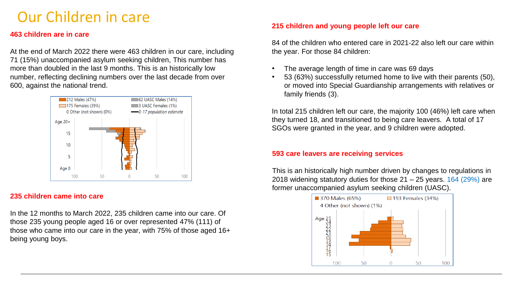# Our Children in care

### **463 children are in care**

At the end of March 2022 there were 463 children in our care, including 71 (15%) unaccompanied asylum seeking children, This number has more than doubled in the last 9 months. This is an historically low number, reflecting declining numbers over the last decade from over 600, against the national trend.



### **235 children came into care**

In the 12 months to March 2022, 235 children came into our care. Of those 235 young people aged 16 or over represented 47% (111) of those who came into our care in the year, with 75% of those aged 16+ being young boys.

### **215 children and young people left our care**

84 of the children who entered care in 2021-22 also left our care within the year. For those 84 children:

- The average length of time in care was 69 days
- 53 (63%) successfully returned home to live with their parents (50), or moved into Special Guardianship arrangements with relatives or family friends (3).

In total 215 children left our care, the majority 100 (46%) left care when they turned 18, and transitioned to being care leavers. A total of 17 SGOs were granted in the year, and 9 children were adopted.

### **593 care leavers are receiving services**

This is an historically high number driven by changes to regulations in 2018 widening statutory duties for those  $21 - 25$  years. 164 (29%) are former unaccompanied asylum seeking children (UASC).

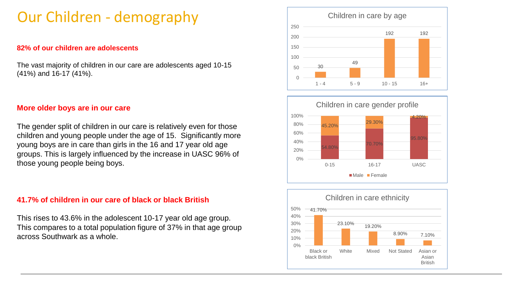# Our Children - demography

### **82% of our children are adolescents**

The vast majority of children in our care are adolescents aged 10-15 (41%) and 16-17 (41%).

### **More older boys are in our care**

The gender split of children in our care is relatively even for those children and young people under the age of 15. Significantly more young boys are in care than girls in the 16 and 17 year old age groups. This is largely influenced by the increase in UASC 96% of those young people being boys.

### **41.7% of children in our care of black or black British**

This rises to 43.6% in the adolescent 10-17 year old age group. This compares to a total population figure of 37% in that age group across Southwark as a whole.





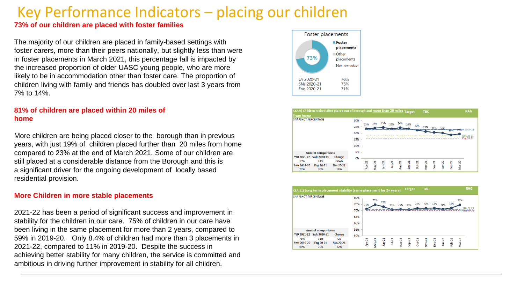# Key Performance Indicators – placing our children

### **73% of our children are placed with foster families**

The majority of our children are placed in family-based settings with foster carers, more than their peers nationally, but slightly less than were in foster placements in March 2021, this percentage fall is impacted by the increased proportion of older UASC young people, who are more likely to be in accommodation other than foster care. The proportion of children living with family and friends has doubled over last 3 years from 7% to 14%.

### **81% of children are placed within 20 miles of home**

More children are being placed closer to the borough than in previous years, with just 19% of children placed further than 20 miles from home compared to 23% at the end of March 2021. Some of our children are still placed at a considerable distance from the Borough and this is a significant driver for the ongoing development of locally based residential provision.

#### **More Children in more stable placements**

2021-22 has been a period of significant success and improvement in stability for the children in our care. 75% of children in our care have been living in the same placement for more than 2 years, compared to 59% in 2019-20. Only 8.4% of children had more than 3 placements in 2021-22, compared to 11% in 2019-20. Despite the success in achieving better stability for many children, the service is committed and ambitious in driving further improvement in stability for all children.





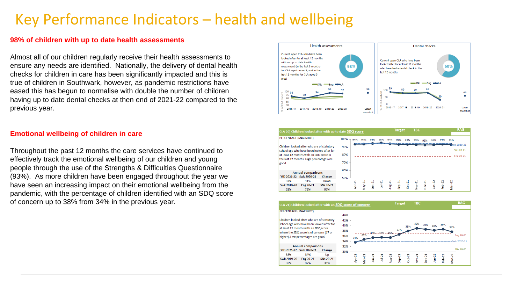# Key Performance Indicators – health and wellbeing

#### **98% of children with up to date health assessments**

Almost all of our children regularly receive their health assessments to ensure any needs are identified. Nationally, the delivery of dental health checks for children in care has been significantly impacted and this is true of children in Southwark, however, as pandemic restrictions have eased this has begun to normalise with double the number of children having up to date dental checks at then end of 2021-22 compared to the previous year.

### **Emotional wellbeing of children in care**

Throughout the past 12 months the care services have continued to effectively track the emotional wellbeing of our children and young people through the use of the Strengths & Difficulties Questionnaire (93%). As more children have been engaged throughout the year we have seen an increasing impact on their emotional wellbeing from the pandemic, with the percentage of children identified with an SDQ score of concern up to 38% from 34% in the previous year.





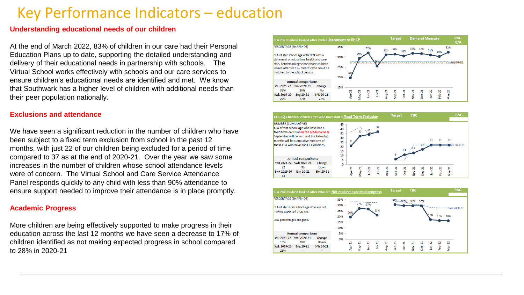## Key Performance Indicators – education

### **Understanding educational needs of our children**

At the end of March 2022, 83% of children in our care had their Personal Education Plans up to date, supporting the detailed understanding and delivery of their educational needs in partnership with schools. The Virtual School works effectively with schools and our care services to ensure children's educational needs are identified and met. We know that Southwark has a higher level of children with additional needs than their peer population nationally.

### **Exclusions and attendance**

We have seen a significant reduction in the number of children who have been subject to a fixed term exclusion from school in the past 12 months, with just 22 of our children being excluded for a period of time compared to 37 as at the end of 2020-21. Over the year we saw some increases in the number of children whose school attendance levels were of concern. The Virtual School and Care Service Attendance Panel responds quickly to any child with less than 90% attendance to ensure support needed to improve their attendance is in place promptly.

### **Academic Progress**

More children are being effectively supported to make progress in their education across the last 12 months we have seen a decrease to 17% of children identified as not making expected progress in school compared to 28% in 2020-21





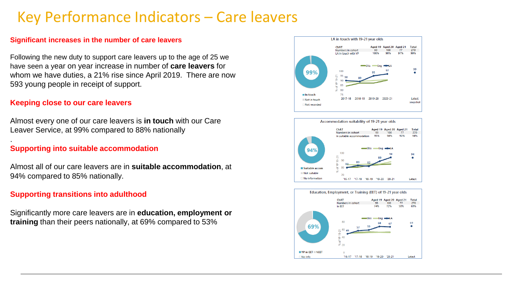# Key Performance Indicators – Care leavers

### **Significant increases in the number of care leavers**

Following the new duty to support care leavers up to the age of 25 we have seen a year on year increase in number of **care leavers** for whom we have duties, a 21% rise since April 2019. There are now 593 young people in receipt of support.

### **Keeping close to our care leavers**

.

Almost every one of our care leavers is **in touch** with our Care Leaver Service, at 99% compared to 88% nationally

### **Supporting into suitable accommodation**

Almost all of our care leavers are in **suitable accommodation**, at 94% compared to 85% nationally.

### **Supporting transitions into adulthood**

Significantly more care leavers are in **education, employment or training** than their peers nationally, at 69% compared to 53%





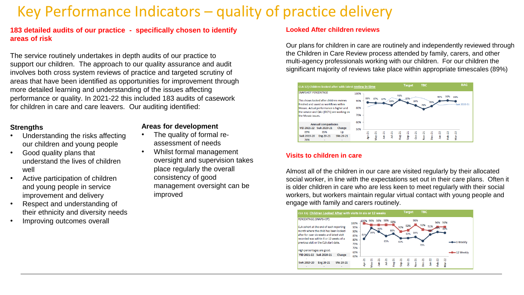# Key Performance Indicators – quality of practice delivery

### **183 detailed audits of our practice - specifically chosen to identify areas of risk**

The service routinely undertakes in depth audits of our practice to support our children. The approach to our quality assurance and audit involves both cross system reviews of practice and targeted scrutiny of areas that have been identified as opportunities for improvement through more detailed learning and understanding of the issues affecting performance or quality. In 2021-22 this included 183 audits of casework for children in care and care leavers. Our auditing identified:

### **Strengths**

- Understanding the risks affecting our children and young people
- Good quality plans that understand the lives of children well
- Active participation of children and young people in service improvement and delivery
- Respect and understanding of their ethnicity and diversity needs
- Improving outcomes overall

### **Areas for development**

- The quality of formal reassessment of needs
- Whilst formal management oversight and supervision takes place regularly the overall consistency of good management oversight can be improved

#### **Looked After children reviews**

Our plans for children in care are routinely and independently reviewed through the Children in Care Review process attended by family, carers, and other multi-agency professionals working with our children. For our children the significant majority of reviews take place within appropriate timescales (89%)



### **Visits to children in care**

Almost all of the children in our care are visited regularly by their allocated social worker, in line with the expectations set out in their care plans. Often it is older children in care who are less keen to meet regularly with their social workers, but workers maintain regular virtual contact with young people and engage with family and carers routinely.

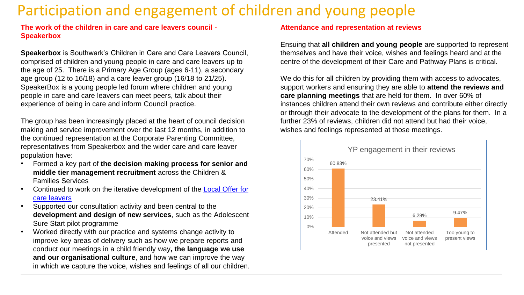# Participation and engagement of children and young people

**The work of the children in care and care leavers council - Speakerbox**

**Speakerbox** is Southwark's Children in Care and Care Leavers Council, comprised of children and young people in care and care leavers up to the age of 25. There is a Primary Age Group (ages 6-11), a secondary age group (12 to 16/18) and a care leaver group (16/18 to 21/25). SpeakerBox is a young people led forum where children and young people in care and care leavers can meet peers, talk about their experience of being in care and inform Council practice.

The group has been increasingly placed at the heart of council decision making and service improvement over the last 12 months, in addition to the continued representation at the Corporate Parenting Committee, representatives from Speakerbox and the wider care and care leaver population have:

- Formed a key part of **the decision making process for senior and middle tier management recruitment** across the Children & Families Services
- [Continued to work on the iterative development of the Local Offer for](https://southwarkcareleavers.co.uk/)  care leavers
- Supported our consultation activity and been central to the **development and design of new services**, such as the Adolescent Sure Start pilot programme
- Worked directly with our practice and systems change activity to improve key areas of delivery such as how we prepare reports and conduct our meetings in a child friendly way**, the language we use and our organisational culture**, and how we can improve the way in which we capture the voice, wishes and feelings of all our children.

### **Attendance and representation at reviews**

Ensuing that **all children and young people** are supported to represent themselves and have their voice, wishes and feelings heard and at the centre of the development of their Care and Pathway Plans is critical.

We do this for all children by providing them with access to advocates, support workers and ensuring they are able to **attend the reviews and care planning meetings** that are held for them. In over 60% of instances children attend their own reviews and contribute either directly or through their advocate to the development of the plans for them. In a further 23% of reviews, children did not attend but had their voice, wishes and feelings represented at those meetings.